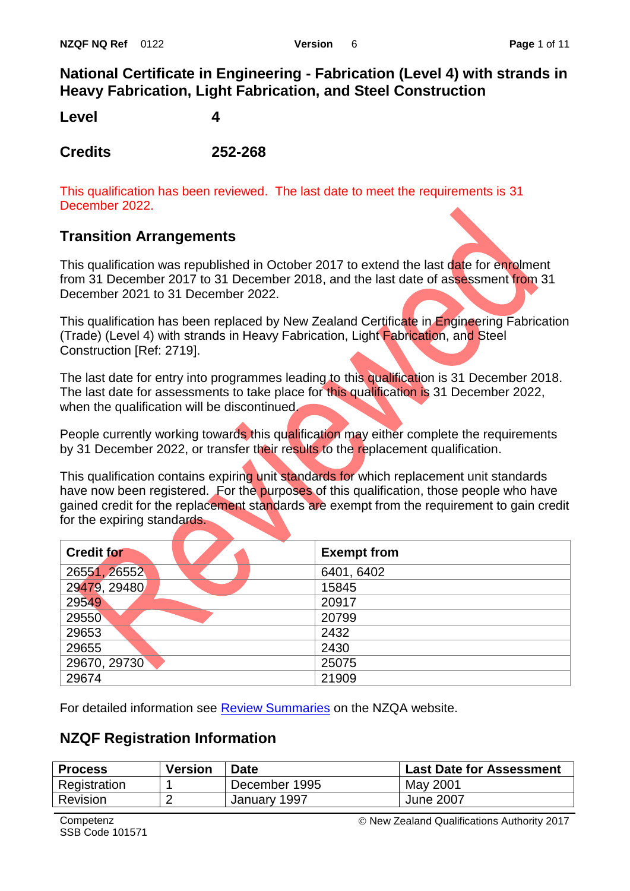## **National Certificate in Engineering - Fabrication (Level 4) with strands in Heavy Fabrication, Light Fabrication, and Steel Construction**

**Level 4**

**Credits 252-268**

This qualification has been reviewed. The last date to meet the requirements is 31 December 2022.

## **Transition Arrangements**

This qualification was republished in October 2017 to extend the last date for enrolment from 31 December 2017 to 31 December 2018, and the last date of assessment from 31 December 2021 to 31 December 2022.

This qualification has been replaced by New Zealand Certificate in Engineering Fabrication (Trade) (Level 4) with strands in Heavy Fabrication, Light Fabrication, and Steel Construction [Ref: 2719].

The last date for entry into programmes leading to this qualification is 31 December 2018. The last date for assessments to take place for this qualification is 31 December 2022, when the qualification will be discontinued.

People currently working towards this qualification may either complete the requirements by 31 December 2022, or transfer their results to the replacement qualification.

This qualification contains expiring unit standards for which replacement unit standards have now been registered. For the purposes of this qualification, those people who have gained credit for the replacement standards are exempt from the requirement to gain credit for the expiring standards.

| <b>Credit for</b> | <b>Exempt from</b> |
|-------------------|--------------------|
| 26551, 26552      | 6401, 6402         |
| 29479, 29480      | 15845              |
| 29549             | 20917              |
| 29550             | 20799              |
| 29653             | 2432               |
| 29655             | 2430               |
| 29670, 29730      | 25075              |
| 29674             | 21909              |

For detailed information see **Review Summaries** on the NZQA website.

## **NZQF Registration Information**

| <b>Process</b> | <b>Version</b> | <b>Date</b>   | <b>Last Date for Assessment</b> |
|----------------|----------------|---------------|---------------------------------|
| Registration   |                | December 1995 | May 2001                        |
| Revision       | _              | January 1997  | June 2007                       |

New Zealand Qualifications Authority 2017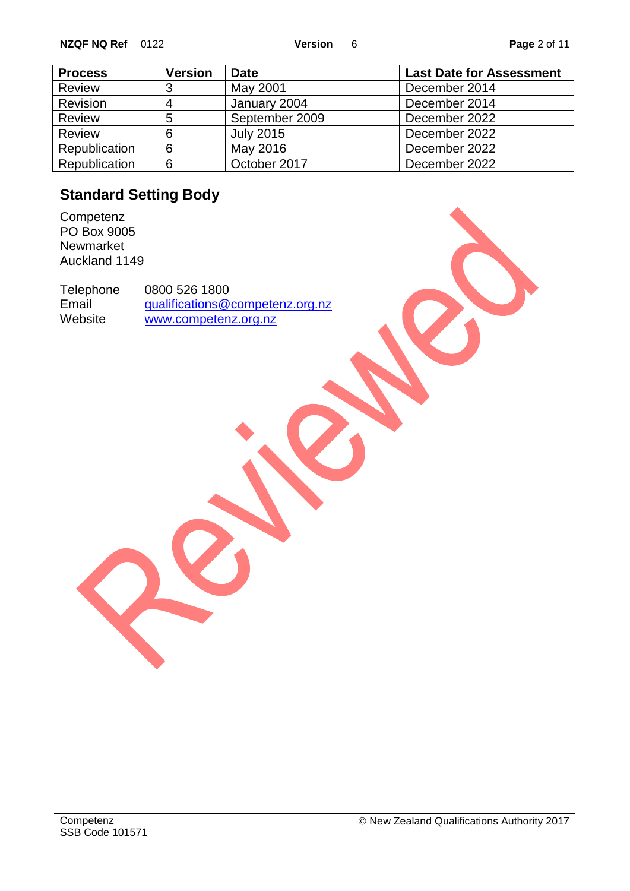| <b>Process</b> | <b>Version</b> | <b>Date</b>      | <b>Last Date for Assessment</b> |
|----------------|----------------|------------------|---------------------------------|
| <b>Review</b>  | 3              | May 2001         | December 2014                   |
| Revision       | 4              | January 2004     | December 2014                   |
| <b>Review</b>  | 5              | September 2009   | December 2022                   |
| <b>Review</b>  | 6              | <b>July 2015</b> | December 2022                   |
| Republication  | 6              | May 2016         | December 2022                   |
| Republication  | 6              | October 2017     | December 2022                   |

# **Standard Setting Body**

**Competenz** PO Box 9005 Newmarket Auckland 1149

Telephone 0800 526 1800<br>Email qualifications@ Email [qualifications@competenz.org.nz](mailto:qualifications@competenz.org.nz)<br>Website www.competenz.org.nz [www.competenz.org.nz](http://www.competenz.org.nz/)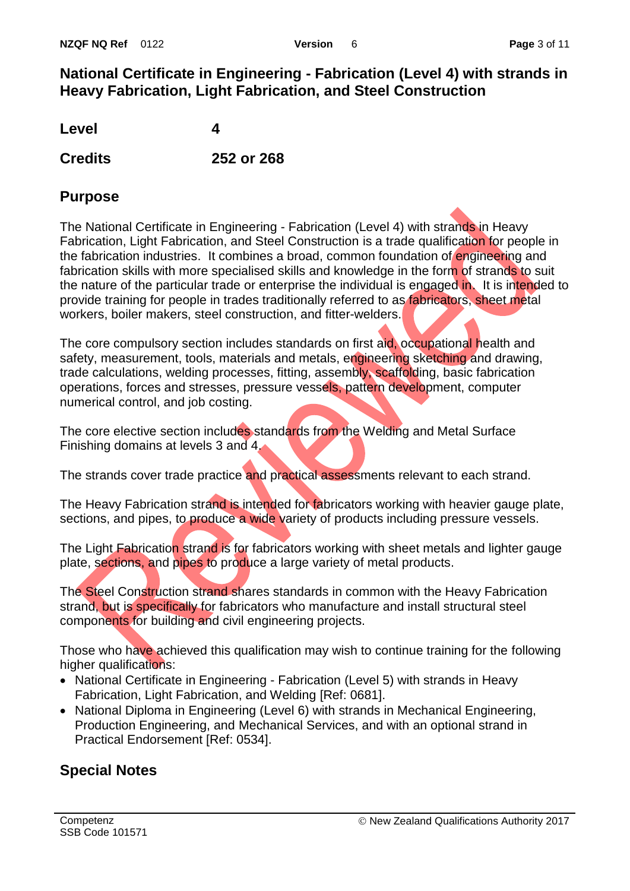## **National Certificate in Engineering - Fabrication (Level 4) with strands in Heavy Fabrication, Light Fabrication, and Steel Construction**

**Level 4**

**Credits 252 or 268**

## **Purpose**

The National Certificate in Engineering - Fabrication (Level 4) with strands in Heavy Fabrication, Light Fabrication, and Steel Construction is a trade qualification for people in the fabrication industries. It combines a broad, common foundation of engineering and fabrication skills with more specialised skills and knowledge in the form of strands to suit the nature of the particular trade or enterprise the individual is engaged in. It is intended to provide training for people in trades traditionally referred to as fabricators, sheet metal workers, boiler makers, steel construction, and fitter-welders.

The core compulsory section includes standards on first aid, occupational health and safety, measurement, tools, materials and metals, engineering sketching and drawing, trade calculations, welding processes, fitting, assembly, scaffolding, basic fabrication operations, forces and stresses, pressure vessels, pattern development, computer numerical control, and job costing.

The core elective section includes standards from the Welding and Metal Surface Finishing domains at levels 3 and 4.

The strands cover trade practice and practical assessments relevant to each strand.

The Heavy Fabrication strand is intended for fabricators working with heavier gauge plate, sections, and pipes, to produce a wide variety of products including pressure vessels.

The Light Fabrication strand is for fabricators working with sheet metals and lighter gauge plate, sections, and pipes to produce a large variety of metal products.

The Steel Construction strand shares standards in common with the Heavy Fabrication strand, but is specifically for fabricators who manufacture and install structural steel components for building and civil engineering projects.

Those who have achieved this qualification may wish to continue training for the following higher qualifications:

- National Certificate in Engineering Fabrication (Level 5) with strands in Heavy Fabrication, Light Fabrication, and Welding [Ref: 0681].
- National Diploma in Engineering (Level 6) with strands in Mechanical Engineering, Production Engineering, and Mechanical Services, and with an optional strand in Practical Endorsement [Ref: 0534].

# **Special Notes**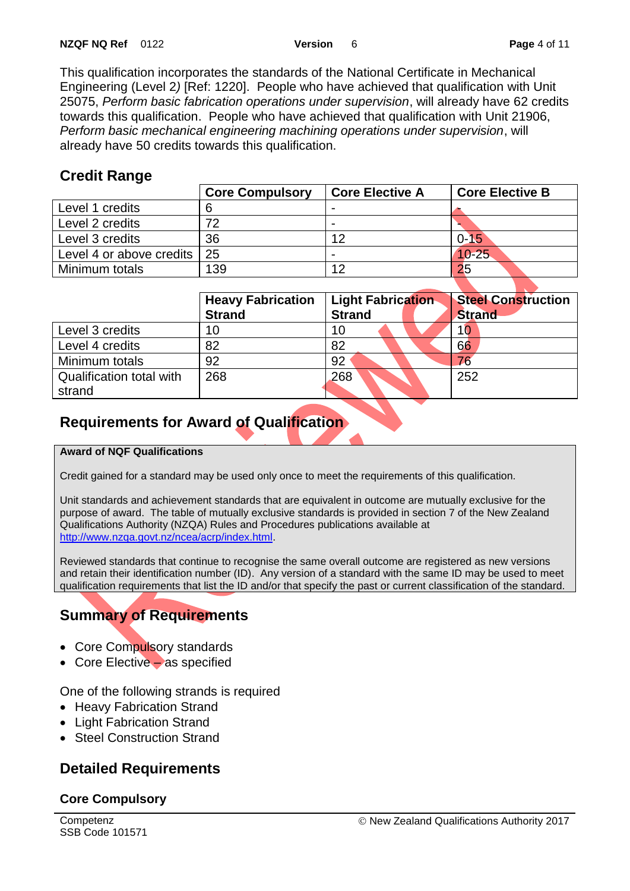This qualification incorporates the standards of the National Certificate in Mechanical Engineering (Level 2*)* [Ref: 1220]. People who have achieved that qualification with Unit 25075, *Perform basic fabrication operations under supervision*, will already have 62 credits towards this qualification. People who have achieved that qualification with Unit 21906, *Perform basic mechanical engineering machining operations under supervision*, will already have 50 credits towards this qualification.

## **Credit Range**

|                             | <b>Core Compulsory</b> | <b>Core Elective A</b> | <b>Core Elective B</b> |
|-----------------------------|------------------------|------------------------|------------------------|
| Level 1 credits             |                        |                        |                        |
| Level 2 credits             | 70                     |                        |                        |
| Level 3 credits             | 36                     | 12                     | $0 - 15$               |
| Level 4 or above credits 25 |                        |                        | $10 - 25$              |
| Minimum totals              | 139                    | 12                     | 25                     |

|                          | <b>Heavy Fabrication</b> | <b>Steel Construction</b><br><b>Light Fabrication</b> |               |
|--------------------------|--------------------------|-------------------------------------------------------|---------------|
|                          | <b>Strand</b>            | <b>Strand</b>                                         | <b>Strand</b> |
| Level 3 credits          | 10                       | 10                                                    | 10            |
| Level 4 credits          | 82                       | 82                                                    | 66            |
| Minimum totals           | 92                       | 92                                                    |               |
| Qualification total with | 268                      | 268                                                   | 252           |
| strand                   |                          |                                                       |               |

# **Requirements for Award of Qualification**

#### **Award of NQF Qualifications**

Credit gained for a standard may be used only once to meet the requirements of this qualification.

Unit standards and achievement standards that are equivalent in outcome are mutually exclusive for the purpose of award. The table of mutually exclusive standards is provided in section 7 of the New Zealand Qualifications Authority (NZQA) Rules and Procedures publications available at [http://www.nzqa.govt.nz/ncea/acrp/index.html.](http://www.nzqa.govt.nz/ncea/acrp/index.html)

Reviewed standards that continue to recognise the same overall outcome are registered as new versions and retain their identification number (ID). Any version of a standard with the same ID may be used to meet qualification requirements that list the ID and/or that specify the past or current classification of the standard.

# **Summary of Requirements**

- Core Compulsory standards
- Core Elective as specified

One of the following strands is required

- Heavy Fabrication Strand
- Light Fabrication Strand
- Steel Construction Strand

# **Detailed Requirements**

### **Core Compulsory**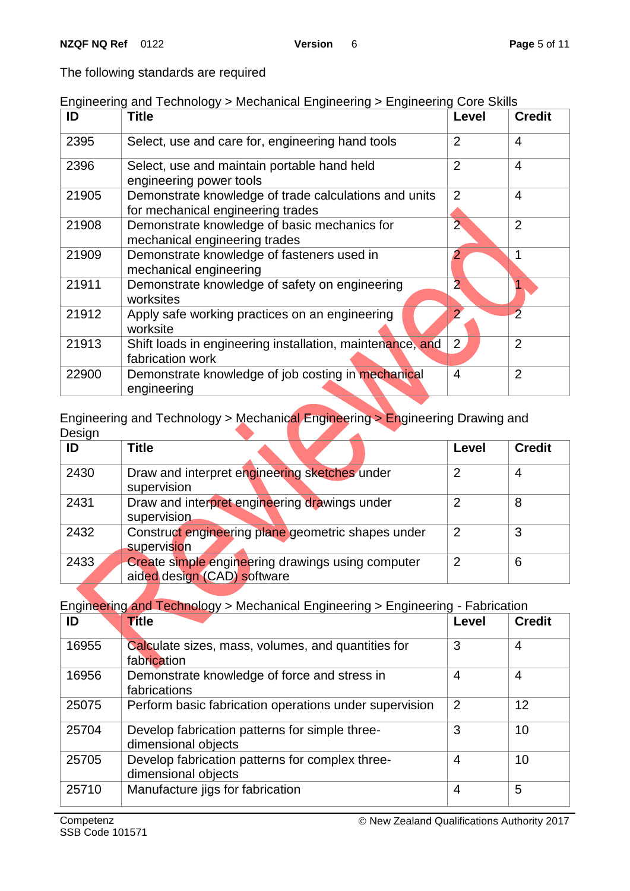The following standards are required

| Engineering and Technology > Mechanical Engineering > Engineering Core Skills |  |  |  |  |  |
|-------------------------------------------------------------------------------|--|--|--|--|--|
|-------------------------------------------------------------------------------|--|--|--|--|--|

| ID    | <b>Title</b>                                                                               | Level          | <b>Credit</b>  |
|-------|--------------------------------------------------------------------------------------------|----------------|----------------|
| 2395  | Select, use and care for, engineering hand tools                                           | $\overline{2}$ | 4              |
| 2396  | Select, use and maintain portable hand held<br>engineering power tools                     | $\overline{2}$ | $\overline{4}$ |
| 21905 | Demonstrate knowledge of trade calculations and units<br>for mechanical engineering trades | $\overline{2}$ | 4              |
| 21908 | Demonstrate knowledge of basic mechanics for<br>mechanical engineering trades              | $\overline{2}$ | $\overline{2}$ |
| 21909 | Demonstrate knowledge of fasteners used in<br>mechanical engineering                       | 2              | 1              |
| 21911 | Demonstrate knowledge of safety on engineering<br>worksites                                | $\overline{2}$ |                |
| 21912 | Apply safe working practices on an engineering<br>worksite                                 | $\overline{2}$ | $\overline{2}$ |
| 21913 | Shift loads in engineering installation, maintenance, and<br>fabrication work              | $\overline{2}$ | $\overline{2}$ |
| 22900 | Demonstrate knowledge of job costing in mechanical<br>engineering                          | 4              | $\overline{2}$ |

Engineering and Technology > Mechanical Engineering > Engineering Drawing and Design

| ID   | <b>Title</b>                                                                     | Level          | <b>Credit</b> |
|------|----------------------------------------------------------------------------------|----------------|---------------|
| 2430 | Draw and interpret engineering sketches under<br>supervision                     | っ              |               |
| 2431 | Draw and interpret engineering drawings under<br>supervision                     | っ              | 8             |
| 2432 | Construct engineering plane geometric shapes under<br>supervision                | $\overline{2}$ | 3             |
| 2433 | Create simple engineering drawings using computer<br>aided design (CAD) software | 2              | 6             |

Engineering and Technology > Mechanical Engineering > Engineering - Fabrication

| ID    | <b>Title</b>                                                           | Level          | <b>Credit</b> |
|-------|------------------------------------------------------------------------|----------------|---------------|
| 16955 | Calculate sizes, mass, volumes, and quantities for<br>fabrication      | 3              | 4             |
| 16956 | Demonstrate knowledge of force and stress in<br>fabrications           | 4              | 4             |
| 25075 | Perform basic fabrication operations under supervision                 | $\overline{2}$ | 12            |
| 25704 | Develop fabrication patterns for simple three-<br>dimensional objects  | 3              | 10            |
| 25705 | Develop fabrication patterns for complex three-<br>dimensional objects | 4              | 10            |
| 25710 | Manufacture jigs for fabrication                                       | 4              | 5             |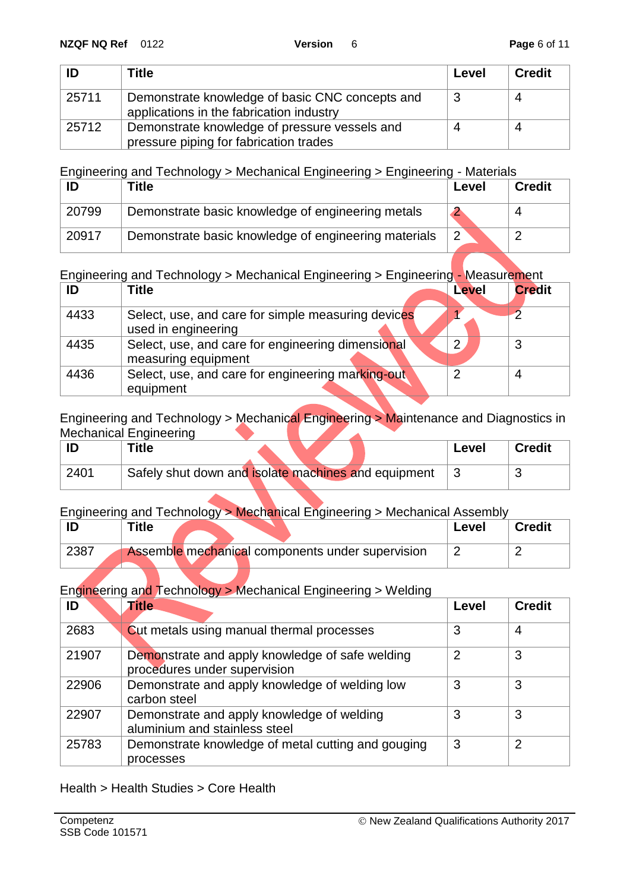| ID    | Title                                                                                       | Level | <b>Credit</b> |
|-------|---------------------------------------------------------------------------------------------|-------|---------------|
| 25711 | Demonstrate knowledge of basic CNC concepts and<br>applications in the fabrication industry |       |               |
| 25712 | Demonstrate knowledge of pressure vessels and<br>pressure piping for fabrication trades     |       |               |

Engineering and Technology > Mechanical Engineering > Engineering - Materials

|       | ™itle                                                | Level          | <b>Credit</b> |
|-------|------------------------------------------------------|----------------|---------------|
| 20799 | Demonstrate basic knowledge of engineering metals    |                |               |
| 20917 | Demonstrate basic knowledge of engineering materials | $\overline{2}$ |               |

Engineering and Technology > Mechanical Engineering > Engineering - Measurement

| ID   | Title                                                                     | Level | <b>Credit</b> |
|------|---------------------------------------------------------------------------|-------|---------------|
| 4433 | Select, use, and care for simple measuring devices<br>used in engineering |       |               |
| 4435 | Select, use, and care for engineering dimensional<br>measuring equipment  | າ     |               |
| 4436 | Select, use, and care for engineering marking-out<br>equipment            |       |               |

Engineering and Technology > Mechanical Engineering > Maintenance and Diagnostics in Mechanical Engineering

|      | Title                                               | Level | <b>Credit</b> |
|------|-----------------------------------------------------|-------|---------------|
| 2401 | Safely shut down and isolate machines and equipment |       |               |

#### Engineering and Technology > Mechanical Engineering > Mechanical Assembly

|      | Title                                            | Level | <b>Credit</b> |
|------|--------------------------------------------------|-------|---------------|
| 2387 | Assemble mechanical components under supervision |       |               |

Engineering and Technology > Mechanical Engineering > Welding

| ID    | <b>Title</b>                                                                    | Level | <b>Credit</b> |
|-------|---------------------------------------------------------------------------------|-------|---------------|
| 2683  | <b>Cut metals using manual thermal processes</b>                                | 3     | 4             |
| 21907 | Demonstrate and apply knowledge of safe welding<br>procedures under supervision | 2     | 3             |
| 22906 | Demonstrate and apply knowledge of welding low<br>carbon steel                  | 3     | 3             |
| 22907 | Demonstrate and apply knowledge of welding<br>aluminium and stainless steel     | 3     | 3             |
| 25783 | Demonstrate knowledge of metal cutting and gouging<br>processes                 | 3     | っ             |

Health > Health Studies > Core Health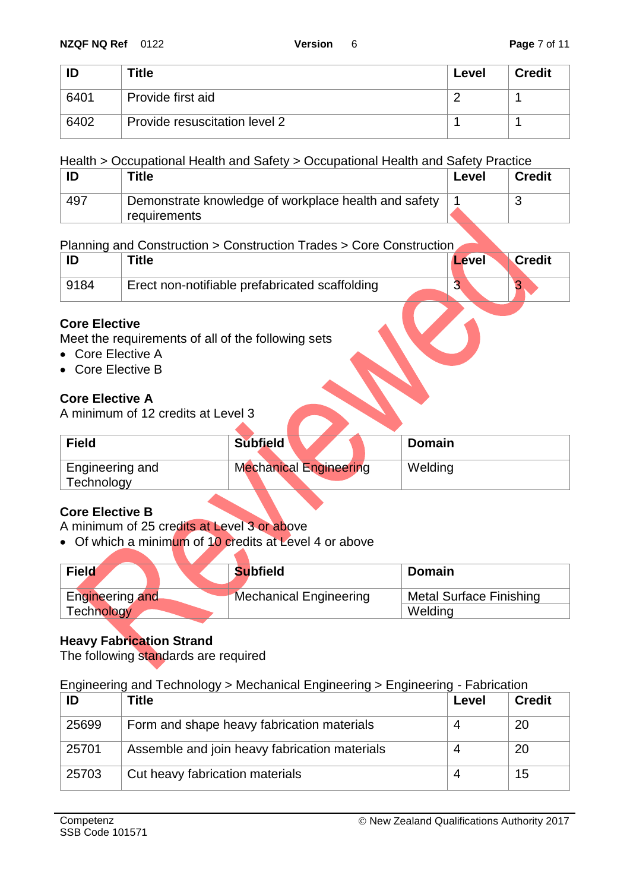| ID   | <b>Title</b>                  | Level | <b>Credit</b> |
|------|-------------------------------|-------|---------------|
| 6401 | Provide first aid             |       |               |
| 6402 | Provide resuscitation level 2 |       |               |

#### Health > Occupational Health and Safety > Occupational Health and Safety Practice

|     | ™itle                                                                | Level | <b>Credit</b> |
|-----|----------------------------------------------------------------------|-------|---------------|
| 497 | Demonstrate knowledge of workplace health and safety<br>requirements |       |               |

#### Planning and Construction > Construction Trades > Core Construction

|      | ™itle                                          | Level | <b>Credit</b> |
|------|------------------------------------------------|-------|---------------|
| 9184 | Erect non-notifiable prefabricated scaffolding | ື     |               |
|      |                                                |       |               |

### **Core Elective**

Meet the requirements of all of the following sets

- Core Elective A
- Core Elective B

### **Core Elective A**

A minimum of 12 credits at Level 3

| <b>Field</b>                  | <b>Subfield</b>               | Domain  |
|-------------------------------|-------------------------------|---------|
| Engineering and<br>Technology | <b>Mechanical Engineering</b> | Welding |

#### **Core Elective B**

A minimum of 25 credits at Level 3 or above

• Of which a minimum of 10 credits at Level 4 or above

| <b>Field</b>      | <b>Subfield</b>               | <b>Domain</b>           |
|-------------------|-------------------------------|-------------------------|
| Engineering and   | <b>Mechanical Engineering</b> | Metal Surface Finishing |
| <b>Technology</b> |                               | Welding                 |

### **Heavy Fabrication Strand**

The following standards are required

#### Engineering and Technology > Mechanical Engineering > Engineering - Fabrication

| ID    | <b>Title</b>                                  | Level | <b>Credit</b> |
|-------|-----------------------------------------------|-------|---------------|
| 25699 | Form and shape heavy fabrication materials    |       | 20            |
| 25701 | Assemble and join heavy fabrication materials |       | 20            |
| 25703 | Cut heavy fabrication materials               |       | 15            |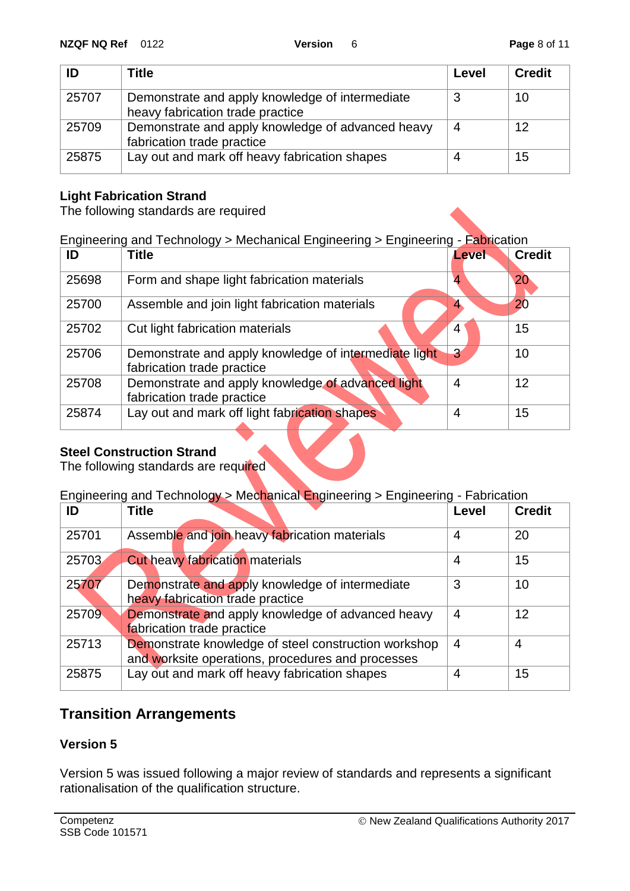| ID    | <b>Title</b>                                                                        | Level | <b>Credit</b> |
|-------|-------------------------------------------------------------------------------------|-------|---------------|
| 25707 | Demonstrate and apply knowledge of intermediate<br>heavy fabrication trade practice |       | 10            |
| 25709 | Demonstrate and apply knowledge of advanced heavy<br>fabrication trade practice     | 4     | 12            |
| 25875 | Lay out and mark off heavy fabrication shapes                                       |       | 15            |

#### **Light Fabrication Strand**

The following standards are required

#### Engineering and Technology > Mechanical Engineering > Engineering - Fabrication

| ID    | <b>Title</b>                                                                        | Level          | <b>Credit</b> |
|-------|-------------------------------------------------------------------------------------|----------------|---------------|
| 25698 | Form and shape light fabrication materials                                          | 4              | 20            |
| 25700 | Assemble and join light fabrication materials                                       | 4              | 20            |
| 25702 | Cut light fabrication materials                                                     | 4              | 15            |
| 25706 | Demonstrate and apply knowledge of intermediate light<br>fabrication trade practice | $\overline{3}$ | 10            |
| 25708 | Demonstrate and apply knowledge of advanced light<br>fabrication trade practice     | $\overline{4}$ | 12            |
| 25874 | Lay out and mark off light fabrication shapes                                       | $\overline{4}$ | 15            |

#### **Steel Construction Strand**

The following standards are required

### Engineering and Technology > Mechanical Engineering > Engineering - Fabrication

| ID    | <b>Title</b>                                                                                              | Level          | <b>Credit</b> |
|-------|-----------------------------------------------------------------------------------------------------------|----------------|---------------|
| 25701 | Assemble and join heavy fabrication materials                                                             | 4              | 20            |
| 25703 | <b>Cut heavy fabrication materials</b>                                                                    | 4              | 15            |
| 25707 | Demonstrate and apply knowledge of intermediate<br>heavy fabrication trade practice                       | 3              | 10            |
| 25709 | Demonstrate and apply knowledge of advanced heavy<br>fabrication trade practice                           | 4              | 12            |
| 25713 | Demonstrate knowledge of steel construction workshop<br>and worksite operations, procedures and processes | $\overline{4}$ | 4             |
| 25875 | Lay out and mark off heavy fabrication shapes                                                             | 4              | 15            |

## **Transition Arrangements**

#### **Version 5**

Version 5 was issued following a major review of standards and represents a significant rationalisation of the qualification structure.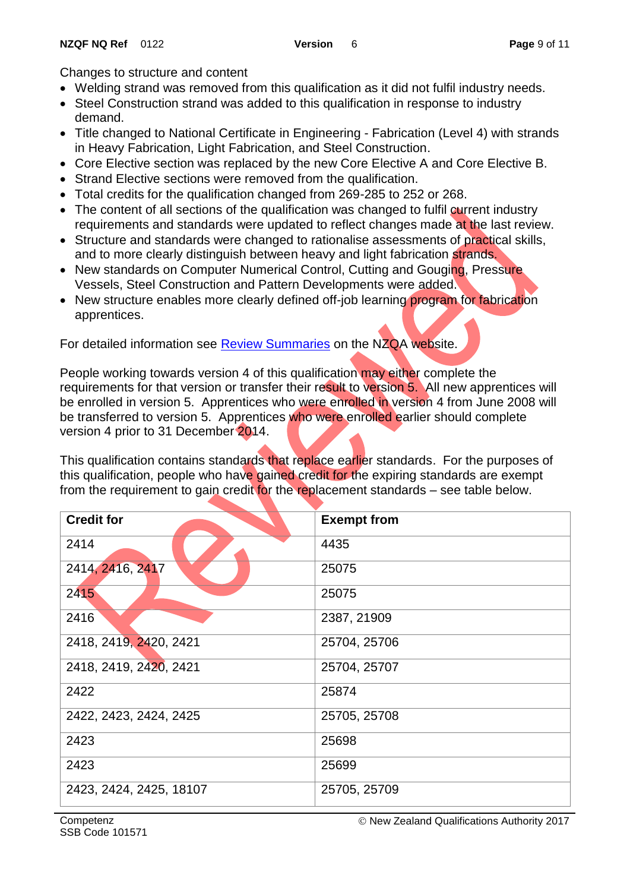Changes to structure and content

- Welding strand was removed from this qualification as it did not fulfil industry needs.
- Steel Construction strand was added to this qualification in response to industry demand.
- Title changed to National Certificate in Engineering Fabrication (Level 4) with strands in Heavy Fabrication, Light Fabrication, and Steel Construction.
- Core Elective section was replaced by the new Core Elective A and Core Elective B.
- Strand Elective sections were removed from the qualification.
- Total credits for the qualification changed from 269-285 to 252 or 268.
- The content of all sections of the qualification was changed to fulfil current industry requirements and standards were updated to reflect changes made at the last review.
- Structure and standards were changed to rationalise assessments of practical skills, and to more clearly distinguish between heavy and light fabrication strands.
- New standards on Computer Numerical Control, Cutting and Gouging, Pressure Vessels, Steel Construction and Pattern Developments were added.
- New structure enables more clearly defined off-job learning program for fabrication apprentices.

For detailed information see [Review Summaries](http://www.nzqa.govt.nz/framework/updates/summaries.do) on the NZQA website.

People working towards version 4 of this qualification may either complete the requirements for that version or transfer their result to version 5. All new apprentices will be enrolled in version 5. Apprentices who were enrolled in version 4 from June 2008 will be transferred to version 5. Apprentices who were enrolled earlier should complete version 4 prior to 31 December 2014.

This qualification contains standards that replace earlier standards. For the purposes of this qualification, people who have gained credit for the expiring standards are exempt from the requirement to gain credit for the replacement standards – see table below.

| <b>Credit for</b>       | <b>Exempt from</b> |
|-------------------------|--------------------|
| 2414                    | 4435               |
| 2414, 2416, 2417        | 25075              |
| 2415                    | 25075              |
| 2416                    | 2387, 21909        |
| 2418, 2419, 2420, 2421  | 25704, 25706       |
| 2418, 2419, 2420, 2421  | 25704, 25707       |
| 2422                    | 25874              |
| 2422, 2423, 2424, 2425  | 25705, 25708       |
| 2423                    | 25698              |
| 2423                    | 25699              |
| 2423, 2424, 2425, 18107 | 25705, 25709       |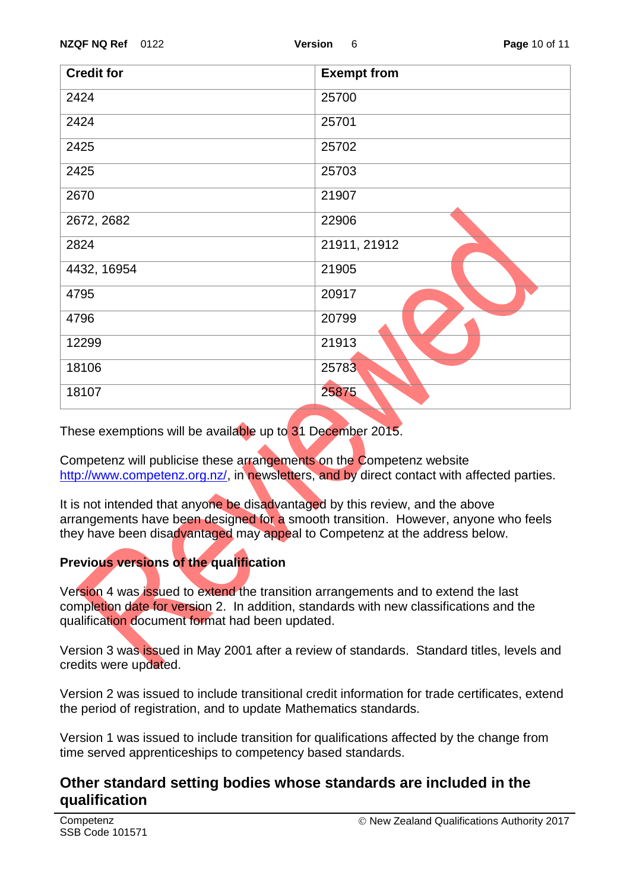| <b>Credit for</b> | <b>Exempt from</b> |  |  |
|-------------------|--------------------|--|--|
| 2424              | 25700              |  |  |
| 2424              | 25701              |  |  |
| 2425              | 25702              |  |  |
| 2425              | 25703              |  |  |
| 2670              | 21907              |  |  |
| 2672, 2682        | 22906              |  |  |
| 2824              | 21911, 21912       |  |  |
| 4432, 16954       | 21905              |  |  |
| 4795              | 20917              |  |  |
| 4796              | 20799              |  |  |
| 12299             | 21913              |  |  |
| 18106             | 25783              |  |  |
| 18107             | 25875              |  |  |

These exemptions will be available up to 31 December 2015.

Competenz will publicise these arrangements on the Competenz website [http://www.competenz.org.nz/,](http://www.competenz.org.nz/) in newsletters, and by direct contact with affected parties.

It is not intended that anyone be disadvantaged by this review, and the above arrangements have been designed for a smooth transition. However, anyone who feels they have been disadvantaged may appeal to Competenz at the address below.

### **Previous versions of the qualification**

Version 4 was issued to extend the transition arrangements and to extend the last completion date for version 2. In addition, standards with new classifications and the qualification document format had been updated.

Version 3 was issued in May 2001 after a review of standards. Standard titles, levels and credits were updated.

Version 2 was issued to include transitional credit information for trade certificates, extend the period of registration, and to update Mathematics standards.

Version 1 was issued to include transition for qualifications affected by the change from time served apprenticeships to competency based standards.

## **Other standard setting bodies whose standards are included in the qualification**